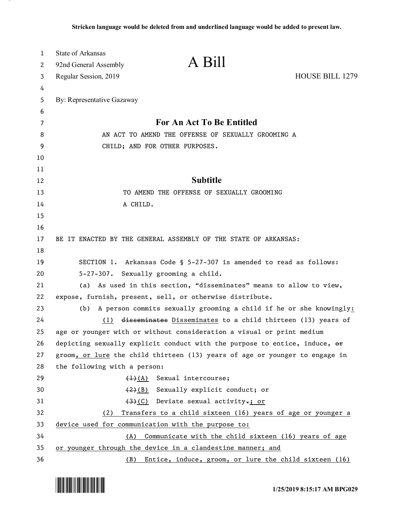| $\mathbf{1}$ | <b>State of Arkansas</b>                                                                                                                                  |                 |
|--------------|-----------------------------------------------------------------------------------------------------------------------------------------------------------|-----------------|
| 2            | A Bill<br>92nd General Assembly                                                                                                                           |                 |
| 3            | Regular Session, 2019                                                                                                                                     | HOUSE BILL 1279 |
| 4            |                                                                                                                                                           |                 |
| 5            | By: Representative Gazaway                                                                                                                                |                 |
| 6            |                                                                                                                                                           |                 |
| 7            | For An Act To Be Entitled                                                                                                                                 |                 |
| 8            | AN ACT TO AMEND THE OFFENSE OF SEXUALLY GROOMING A                                                                                                        |                 |
| 9            | CHILD; AND FOR OTHER PURPOSES.                                                                                                                            |                 |
| 10           |                                                                                                                                                           |                 |
| 11           |                                                                                                                                                           |                 |
| 12           | <b>Subtitle</b>                                                                                                                                           |                 |
| 13           | TO AMEND THE OFFENSE OF SEXUALLY GROOMING                                                                                                                 |                 |
| 14           | A CHILD.                                                                                                                                                  |                 |
| 15           |                                                                                                                                                           |                 |
| 16           |                                                                                                                                                           |                 |
| 17           | BE IT ENACTED BY THE GENERAL ASSEMBLY OF THE STATE OF ARKANSAS:                                                                                           |                 |
| 18           |                                                                                                                                                           |                 |
| 19           | SECTION 1. Arkansas Code § 5-27-307 is amended to read as follows:                                                                                        |                 |
| 20           | 5-27-307. Sexually grooming a child.                                                                                                                      |                 |
| 21           | (a) As used in this section, "disseminates" means to allow to view,                                                                                       |                 |
| 22           | expose, furnish, present, sell, or otherwise distribute.                                                                                                  |                 |
| 23           | A person commits sexually grooming a child if he or she knowingly:<br>(b)                                                                                 |                 |
| 24           | disseminates Disseminates to a child thirteen (13) years of<br>(1)                                                                                        |                 |
| 25<br>26     | age or younger with or without consideration a visual or print medium                                                                                     |                 |
| 27           | depicting sexually explicit conduct with the purpose to entice, induce, or<br>groom, or lure the child thirteen (13) years of age or younger to engage in |                 |
| 28           | the following with a person:                                                                                                                              |                 |
| 29           | Sexual intercourse;<br>$\left(\frac{1}{2}\right)$ (A)                                                                                                     |                 |
| 30           | (2)(B) Sexually explicit conduct; or                                                                                                                      |                 |
| 31           | $(3)(0)$ Deviate sexual activity,; or                                                                                                                     |                 |
| 32           | Transfers to a child sixteen (16) years of age or younger a<br>(2)                                                                                        |                 |
| 33           | device used for communication with the purpose to:                                                                                                        |                 |
| 34           | Communicate with the child sixteen (16) years of age<br>(A)                                                                                               |                 |
| 35           | or younger through the device in a clandestine manner; and                                                                                                |                 |
| 36           | Entice, induce, groom, or lure the child sixteen (16)<br>(B)                                                                                              |                 |